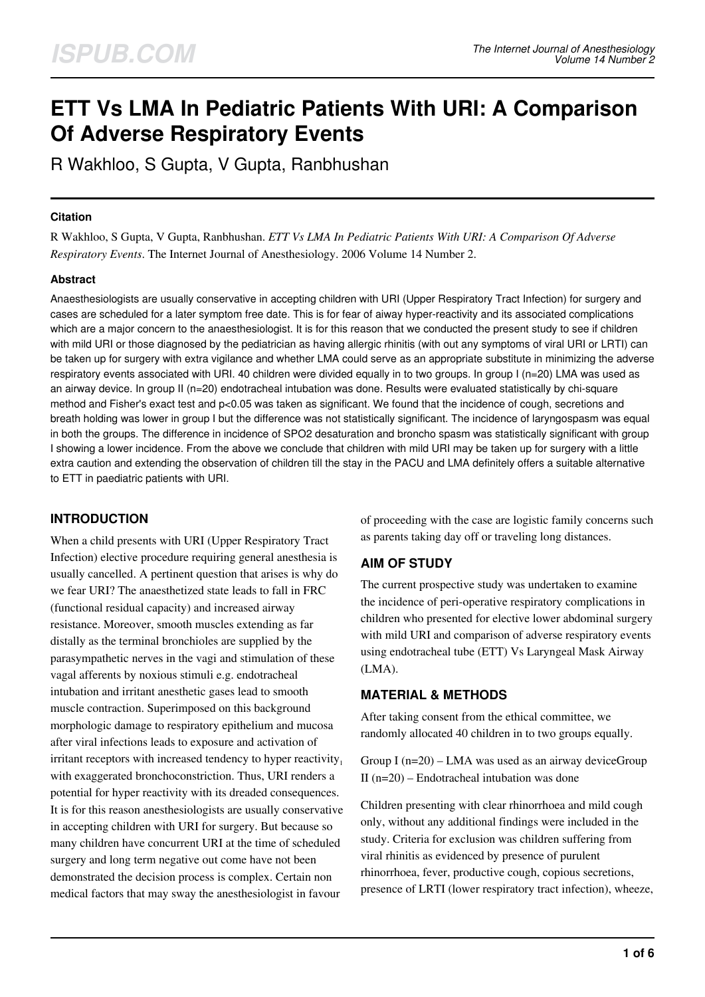# **ETT Vs LMA In Pediatric Patients With URI: A Comparison Of Adverse Respiratory Events**

R Wakhloo, S Gupta, V Gupta, Ranbhushan

#### **Citation**

R Wakhloo, S Gupta, V Gupta, Ranbhushan. *ETT Vs LMA In Pediatric Patients With URI: A Comparison Of Adverse Respiratory Events*. The Internet Journal of Anesthesiology. 2006 Volume 14 Number 2.

# **Abstract**

Anaesthesiologists are usually conservative in accepting children with URI (Upper Respiratory Tract Infection) for surgery and cases are scheduled for a later symptom free date. This is for fear of aiway hyper-reactivity and its associated complications which are a major concern to the anaesthesiologist. It is for this reason that we conducted the present study to see if children with mild URI or those diagnosed by the pediatrician as having allergic rhinitis (with out any symptoms of viral URI or LRTI) can be taken up for surgery with extra vigilance and whether LMA could serve as an appropriate substitute in minimizing the adverse respiratory events associated with URI. 40 children were divided equally in to two groups. In group I (n=20) LMA was used as an airway device. In group II (n=20) endotracheal intubation was done. Results were evaluated statistically by chi-square method and Fisher's exact test and p<0.05 was taken as significant. We found that the incidence of cough, secretions and breath holding was lower in group I but the difference was not statistically significant. The incidence of laryngospasm was equal in both the groups. The difference in incidence of SPO2 desaturation and broncho spasm was statistically significant with group I showing a lower incidence. From the above we conclude that children with mild URI may be taken up for surgery with a little extra caution and extending the observation of children till the stay in the PACU and LMA definitely offers a suitable alternative to ETT in paediatric patients with URI.

# **INTRODUCTION**

When a child presents with URI (Upper Respiratory Tract Infection) elective procedure requiring general anesthesia is usually cancelled. A pertinent question that arises is why do we fear URI? The anaesthetized state leads to fall in FRC (functional residual capacity) and increased airway resistance. Moreover, smooth muscles extending as far distally as the terminal bronchioles are supplied by the parasympathetic nerves in the vagi and stimulation of these vagal afferents by noxious stimuli e.g. endotracheal intubation and irritant anesthetic gases lead to smooth muscle contraction. Superimposed on this background morphologic damage to respiratory epithelium and mucosa after viral infections leads to exposure and activation of irritant receptors with increased tendency to hyper reactivity. with exaggerated bronchoconstriction. Thus, URI renders a potential for hyper reactivity with its dreaded consequences. It is for this reason anesthesiologists are usually conservative in accepting children with URI for surgery. But because so many children have concurrent URI at the time of scheduled surgery and long term negative out come have not been demonstrated the decision process is complex. Certain non medical factors that may sway the anesthesiologist in favour

of proceeding with the case are logistic family concerns such as parents taking day off or traveling long distances.

# **AIM OF STUDY**

The current prospective study was undertaken to examine the incidence of peri-operative respiratory complications in children who presented for elective lower abdominal surgery with mild URI and comparison of adverse respiratory events using endotracheal tube (ETT) Vs Laryngeal Mask Airway (LMA).

# **MATERIAL & METHODS**

After taking consent from the ethical committee, we randomly allocated 40 children in to two groups equally.

Group I  $(n=20)$  – LMA was used as an airway deviceGroup II (n=20) – Endotracheal intubation was done

Children presenting with clear rhinorrhoea and mild cough only, without any additional findings were included in the study. Criteria for exclusion was children suffering from viral rhinitis as evidenced by presence of purulent rhinorrhoea, fever, productive cough, copious secretions, presence of LRTI (lower respiratory tract infection), wheeze,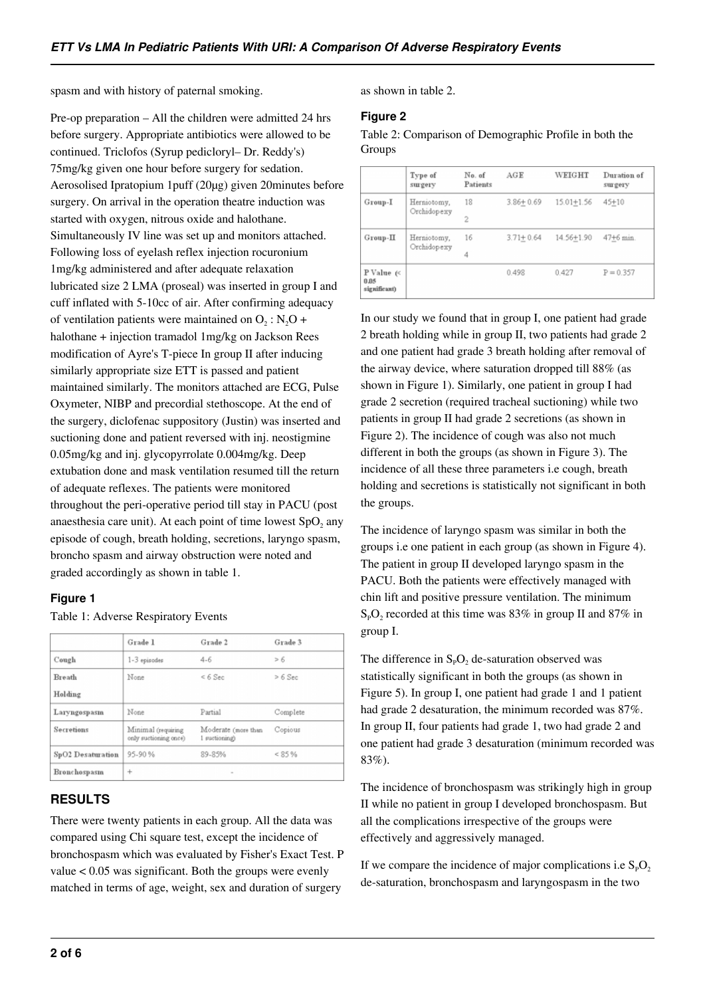spasm and with history of paternal smoking.

Pre-op preparation – All the children were admitted 24 hrs before surgery. Appropriate antibiotics were allowed to be continued. Triclofos (Syrup pedicloryl– Dr. Reddy's) 75mg/kg given one hour before surgery for sedation. Aerosolised Ipratopium 1puff (20µg) given 20minutes before surgery. On arrival in the operation theatre induction was started with oxygen, nitrous oxide and halothane. Simultaneously IV line was set up and monitors attached. Following loss of eyelash reflex injection rocuronium 1mg/kg administered and after adequate relaxation lubricated size 2 LMA (proseal) was inserted in group I and cuff inflated with 5-10cc of air. After confirming adequacy of ventilation patients were maintained on  $O_2$ : N<sub>2</sub>O + halothane + injection tramadol 1mg/kg on Jackson Rees modification of Ayre's T-piece In group II after inducing similarly appropriate size ETT is passed and patient maintained similarly. The monitors attached are ECG, Pulse Oxymeter, NIBP and precordial stethoscope. At the end of the surgery, diclofenac suppository (Justin) was inserted and suctioning done and patient reversed with inj. neostigmine 0.05mg/kg and inj. glycopyrrolate 0.004mg/kg. Deep extubation done and mask ventilation resumed till the return of adequate reflexes. The patients were monitored throughout the peri-operative period till stay in PACU (post anaesthesia care unit). At each point of time lowest  $SpO<sub>2</sub>$  any episode of cough, breath holding, secretions, laryngo spasm, broncho spasm and airway obstruction were noted and graded accordingly as shown in table 1.

#### **Figure 1**

|                   | Grade 1                                     | Grade 2                              | Grade 3   |
|-------------------|---------------------------------------------|--------------------------------------|-----------|
| Cough             | $1-3$ episodes                              | $4 - 6$                              | > 6       |
| Breath            | None                                        | $< 6$ Sec                            | $> 6$ Sec |
| Holding           |                                             |                                      |           |
| Laryngospasm      | None                                        | Partial                              | Complete  |
| Secretions        | Minimal (requiring<br>only suctioning once) | Moderate (more than<br>1 suctioning) | Copious   |
| SpO2 Desaturation | 95-90%                                      | 89-85%                               | < 85%     |
| Bronchospasm      | $^{+}$                                      | $\sim$                               |           |

# **RESULTS**

There were twenty patients in each group. All the data was compared using Chi square test, except the incidence of bronchospasm which was evaluated by Fisher's Exact Test. P value < 0.05 was significant. Both the groups were evenly matched in terms of age, weight, sex and duration of surgery

as shown in table 2.

#### **Figure 2**

Table 2: Comparison of Demographic Profile in both the Groups

|                                       | Type of<br>surgery         | No. of<br>Patients | AGE           | WEIGHT         | Duration of<br>surgery |
|---------------------------------------|----------------------------|--------------------|---------------|----------------|------------------------|
| Group-I                               | Herniotomy,<br>Orchidopexy | 18                 | $3.86 + 0.69$ | $15.01 + 1.56$ | $45 + 10$              |
|                                       |                            | 2                  |               |                |                        |
| $Group-II$                            | Herniotomy,<br>Orchidopexy | 16                 | $3.71 + 0.64$ | 14.56+1.90     | 47+6 min.              |
|                                       |                            | 4                  |               |                |                        |
| P Value $\ll$<br>0.05<br>significant) |                            |                    | 0.498         | 0.427          | $P = 0.357$            |

In our study we found that in group I, one patient had grade 2 breath holding while in group II, two patients had grade 2 and one patient had grade 3 breath holding after removal of the airway device, where saturation dropped till 88% (as shown in Figure 1). Similarly, one patient in group I had grade 2 secretion (required tracheal suctioning) while two patients in group II had grade 2 secretions (as shown in Figure 2). The incidence of cough was also not much different in both the groups (as shown in Figure 3). The incidence of all these three parameters i.e cough, breath holding and secretions is statistically not significant in both the groups.

The incidence of laryngo spasm was similar in both the groups i.e one patient in each group (as shown in Figure 4). The patient in group II developed laryngo spasm in the PACU. Both the patients were effectively managed with chin lift and positive pressure ventilation. The minimum  $S_PO_2$  recorded at this time was 83% in group II and 87% in group I.

The difference in  $S_PO_2$  de-saturation observed was statistically significant in both the groups (as shown in Figure 5). In group I, one patient had grade 1 and 1 patient had grade 2 desaturation, the minimum recorded was 87%. In group II, four patients had grade 1, two had grade 2 and one patient had grade 3 desaturation (minimum recorded was 83%).

The incidence of bronchospasm was strikingly high in group II while no patient in group I developed bronchospasm. But all the complications irrespective of the groups were effectively and aggressively managed.

If we compare the incidence of major complications i.e  $S_pO_2$ . de-saturation, bronchospasm and laryngospasm in the two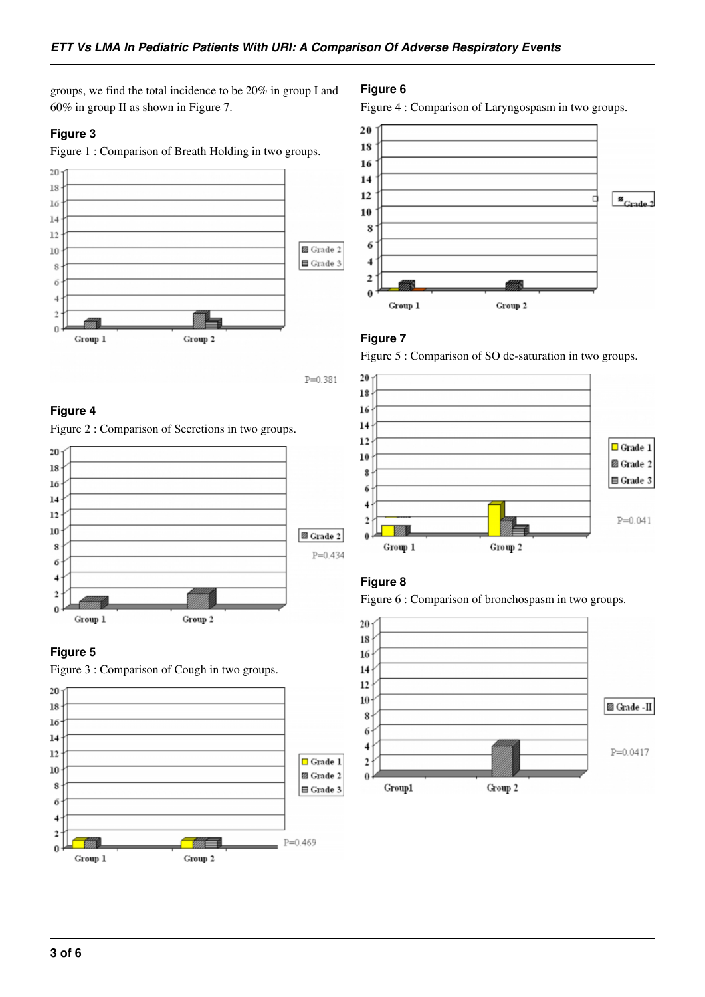groups, we find the total incidence to be 20% in group I and 60% in group II as shown in Figure 7.

# **Figure 3**

Figure 1 : Comparison of Breath Holding in two groups.



 $P = 0.381$ 

#### **Figure 4**

Figure 2 : Comparison of Secretions in two groups.



# **Figure 5**





#### **Figure 6**

Figure 4 : Comparison of Laryngospasm in two groups.



#### **Figure 7**

Figure 5 : Comparison of SO de-saturation in two groups.



# **Figure 8**

Figure 6 : Comparison of bronchospasm in two groups.

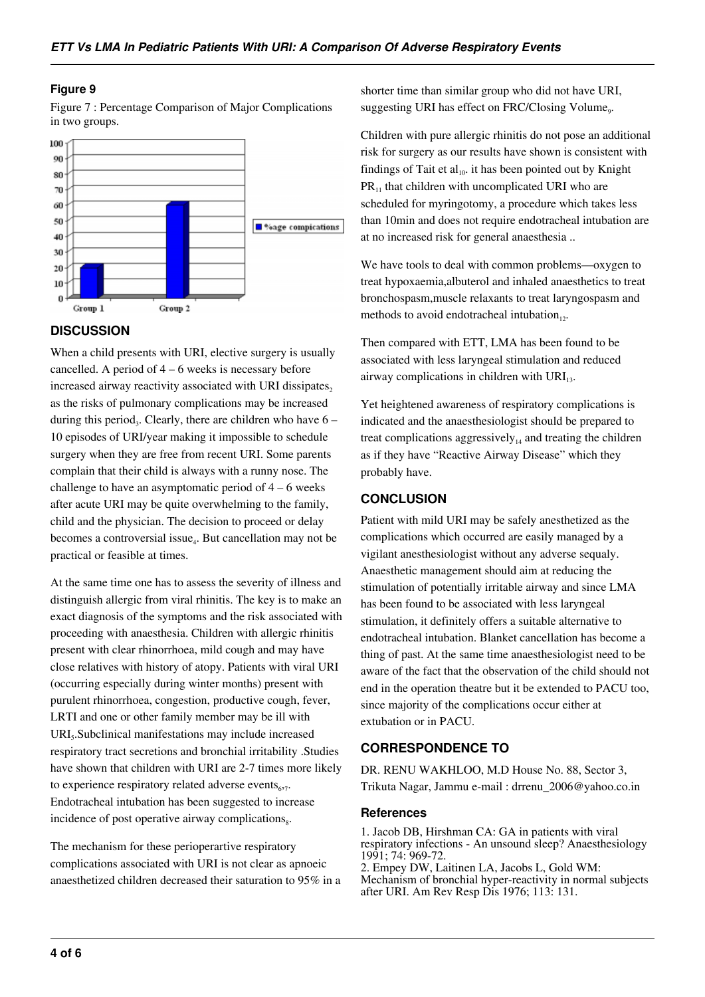#### **Figure 9**

Figure 7 : Percentage Comparison of Major Complications in two groups.



#### **DISCUSSION**

When a child presents with URI, elective surgery is usually cancelled. A period of  $4 - 6$  weeks is necessary before increased airway reactivity associated with URI dissipates, as the risks of pulmonary complications may be increased during this period<sub>3</sub>. Clearly, there are children who have  $6 -$ 10 episodes of URI/year making it impossible to schedule surgery when they are free from recent URI. Some parents complain that their child is always with a runny nose. The challenge to have an asymptomatic period of  $4 - 6$  weeks after acute URI may be quite overwhelming to the family, child and the physician. The decision to proceed or delay becomes a controversial issue<sub>4</sub>. But cancellation may not be practical or feasible at times.

At the same time one has to assess the severity of illness and distinguish allergic from viral rhinitis. The key is to make an exact diagnosis of the symptoms and the risk associated with proceeding with anaesthesia. Children with allergic rhinitis present with clear rhinorrhoea, mild cough and may have close relatives with history of atopy. Patients with viral URI (occurring especially during winter months) present with purulent rhinorrhoea, congestion, productive cough, fever, LRTI and one or other family member may be ill with URI<sub>5</sub>. Subclinical manifestations may include increased respiratory tract secretions and bronchial irritability .Studies have shown that children with URI are 2-7 times more likely to experience respiratory related adverse events $_{6,7}$ . Endotracheal intubation has been suggested to increase incidence of post operative airway complications $s_{s}$ .

The mechanism for these perioperartive respiratory complications associated with URI is not clear as apnoeic anaesthetized children decreased their saturation to 95% in a shorter time than similar group who did not have URI, suggesting URI has effect on FRC/Closing Volume,.

Children with pure allergic rhinitis do not pose an additional risk for surgery as our results have shown is consistent with findings of Tait et  $al_{10}$ . it has been pointed out by Knight  $PR_{11}$  that children with uncomplicated URI who are scheduled for myringotomy, a procedure which takes less than 10min and does not require endotracheal intubation are at no increased risk for general anaesthesia ..

We have tools to deal with common problems—oxygen to treat hypoxaemia,albuterol and inhaled anaesthetics to treat bronchospasm,muscle relaxants to treat laryngospasm and methods to avoid endotracheal intubation $_{12}$ .

Then compared with ETT, LMA has been found to be associated with less laryngeal stimulation and reduced airway complications in children with  $\text{URI}_{13}$ .

Yet heightened awareness of respiratory complications is indicated and the anaesthesiologist should be prepared to treat complications aggressively<sub>14</sub> and treating the children as if they have "Reactive Airway Disease" which they probably have.

#### **CONCLUSION**

Patient with mild URI may be safely anesthetized as the complications which occurred are easily managed by a vigilant anesthesiologist without any adverse sequaly. Anaesthetic management should aim at reducing the stimulation of potentially irritable airway and since LMA has been found to be associated with less laryngeal stimulation, it definitely offers a suitable alternative to endotracheal intubation. Blanket cancellation has become a thing of past. At the same time anaesthesiologist need to be aware of the fact that the observation of the child should not end in the operation theatre but it be extended to PACU too, since majority of the complications occur either at extubation or in PACU.

#### **CORRESPONDENCE TO**

DR. RENU WAKHLOO, M.D House No. 88, Sector 3, Trikuta Nagar, Jammu e-mail : drrenu\_2006@yahoo.co.in

#### **References**

1. Jacob DB, Hirshman CA: GA in patients with viral respiratory infections - An unsound sleep? Anaesthesiology 1991; 74: 969-72.

2. Empey DW, Laitinen LA, Jacobs L, Gold WM: Mechanism of bronchial hyper-reactivity in normal subjects after URI. Am Rev Resp Dis 1976; 113: 131.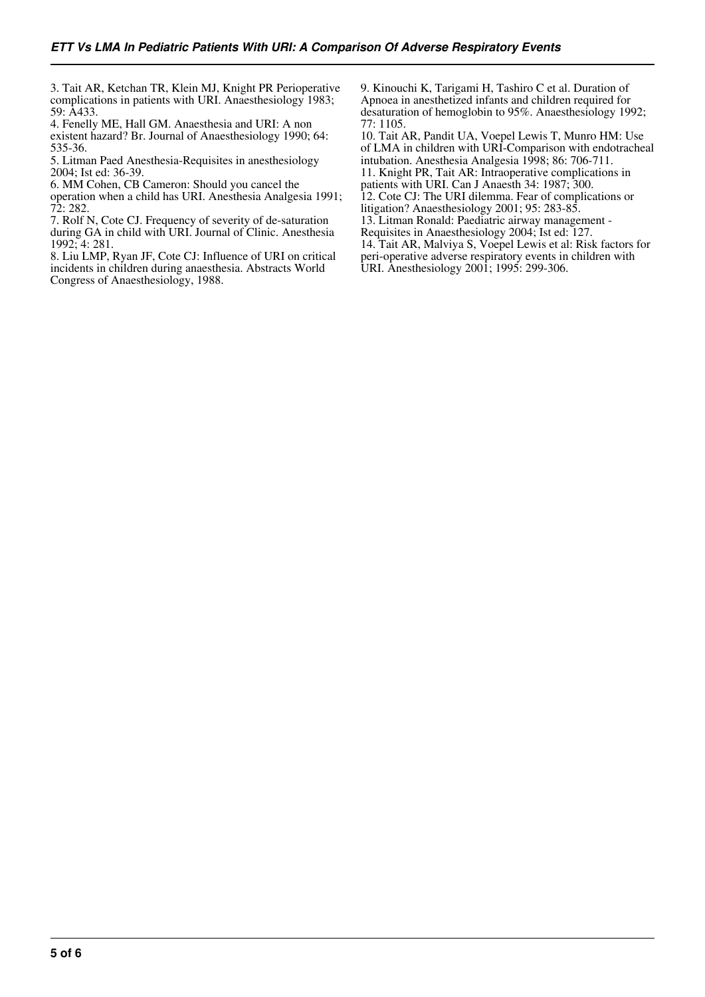3. Tait AR, Ketchan TR, Klein MJ, Knight PR Perioperative complications in patients with URI. Anaesthesiology 1983; 59: A433.

4. Fenelly ME, Hall GM. Anaesthesia and URI: A non existent hazard? Br. Journal of Anaesthesiology 1990; 64: 535-36.

5. Litman Paed Anesthesia-Requisites in anesthesiology 2004; Ist ed: 36-39.

6. MM Cohen, CB Cameron: Should you cancel the

operation when a child has URI. Anesthesia Analgesia 1991; 72: 282.

7. Rolf N, Cote CJ. Frequency of severity of de-saturation during GA in child with URI. Journal of Clinic. Anesthesia 1992; 4: 281.

8. Liu LMP, Ryan JF, Cote CJ: Influence of URI on critical incidents in children during anaesthesia. Abstracts World Congress of Anaesthesiology, 1988.

9. Kinouchi K, Tarigami H, Tashiro C et al. Duration of Apnoea in anesthetized infants and children required for desaturation of hemoglobin to 95%. Anaesthesiology 1992; 77: 1105.

10. Tait AR, Pandit UA, Voepel Lewis T, Munro HM: Use of LMA in children with URI-Comparison with endotracheal intubation. Anesthesia Analgesia 1998; 86: 706-711. 11. Knight PR, Tait AR: Intraoperative complications in patients with URI. Can J Anaesth 34: 1987; 300. 12. Cote CJ: The URI dilemma. Fear of complications or litigation? Anaesthesiology 2001; 95: 283-85. 13. Litman Ronald: Paediatric airway management - Requisites in Anaesthesiology 2004; Ist ed: 127. 14. Tait AR, Malviya S, Voepel Lewis et al: Risk factors for peri-operative adverse respiratory events in children with URI. Anesthesiology 2001; 1995: 299-306.